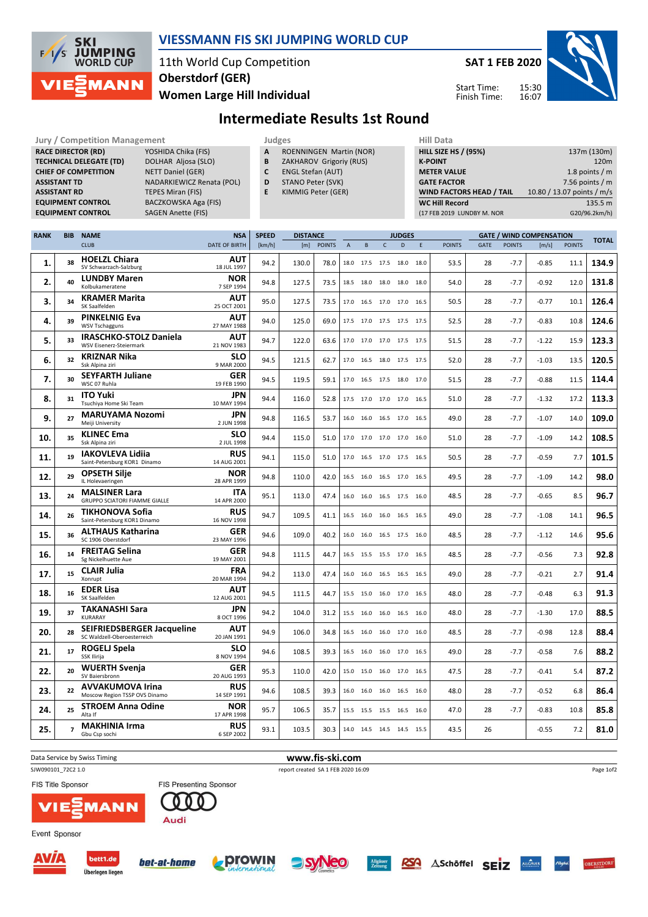

#### VIESSMANN FIS SKI JUMPING WORLD CUP

11th World Cup Competition Oberstdorf (GER)

SAT 1 FEB 2020

Start Time: Finish Time:



Women Large Hill Individual

# Intermediate Results 1st Round

| <b>Jury / Competition Management</b> |                                            |                                                                                                                                                    |                                                                                                                                                                                      |                           |                                                                                                                                                    | Judges          |               |                |   |                          |               |   | <b>Hill Data</b>                                                                                                                                                             |             |                                                                                                                     |                       |               |              |
|--------------------------------------|--------------------------------------------|----------------------------------------------------------------------------------------------------------------------------------------------------|--------------------------------------------------------------------------------------------------------------------------------------------------------------------------------------|---------------------------|----------------------------------------------------------------------------------------------------------------------------------------------------|-----------------|---------------|----------------|---|--------------------------|---------------|---|------------------------------------------------------------------------------------------------------------------------------------------------------------------------------|-------------|---------------------------------------------------------------------------------------------------------------------|-----------------------|---------------|--------------|
|                                      | <b>ASSISTANT TD</b><br><b>ASSISTANT RD</b> | <b>RACE DIRECTOR (RD)</b><br><b>TECHNICAL DELEGATE (TD)</b><br><b>CHIEF OF COMPETITION</b><br><b>EQUIPMENT CONTROL</b><br><b>EQUIPMENT CONTROL</b> | YOSHIDA Chika (FIS)<br>DOLHAR Aljosa (SLO)<br><b>NETT Daniel (GER)</b><br>NADARKIEWICZ Renata (POL)<br><b>TEPES Miran (FIS)</b><br>BACZKOWSKA Aga (FIS)<br><b>SAGEN Anette (FIS)</b> |                           | ROENNINGEN Martin (NOR)<br>A<br>B<br>ZAKHAROV Grigoriy (RUS)<br><b>ENGL Stefan (AUT)</b><br>C<br>STANO Peter (SVK)<br>D<br>KIMMIG Peter (GER)<br>E |                 |               |                |   |                          |               |   | <b>HILL SIZE HS / (95%)</b><br><b>K-POINT</b><br><b>METER VALUE</b><br><b>GATE FACTOR</b><br>WIND FACTORS HEAD / TAIL<br><b>WC Hill Record</b><br>(17 FEB 2019 LUNDBY M. NOR |             | 137m (130m)<br>120m<br>1.8 points / m<br>7.56 points $/m$<br>10.80 / 13.07 points / m/s<br>135.5 m<br>G20/96.2km/h) |                       |               |              |
| <b>RANK</b>                          | <b>BIB</b>                                 | <b>NAME</b>                                                                                                                                        |                                                                                                                                                                                      | <b>NSA</b>                | <b>SPEED</b>                                                                                                                                       | <b>DISTANCE</b> |               |                |   |                          | <b>JUDGES</b> |   |                                                                                                                                                                              |             | <b>GATE / WIND COMPENSATION</b>                                                                                     |                       |               |              |
|                                      |                                            | <b>CLUB</b>                                                                                                                                        |                                                                                                                                                                                      | DATE OF BIRTH             | [km/h]                                                                                                                                             | [m]             | <b>POINTS</b> | $\overline{A}$ | B | $\mathsf{C}$             | D             | E | <b>POINTS</b>                                                                                                                                                                | <b>GATE</b> | <b>POINTS</b>                                                                                                       | $\lfloor m/s \rfloor$ | <b>POINTS</b> | <b>TOTAL</b> |
| 1.                                   | 38                                         | <b>HOELZL Chiara</b><br>SV Schwarzach-Salzburg                                                                                                     |                                                                                                                                                                                      | <b>AUT</b><br>18 JUL 1997 | 94.2                                                                                                                                               | 130.0           | 78.0          |                |   | 18.0 17.5 17.5 18.0 18.0 |               |   | 53.5                                                                                                                                                                         | 28          | $-7.7$                                                                                                              | $-0.85$               | 11.1          | 134.9        |
| 2.                                   | 40                                         | <b>LUNDBY Maren</b><br>Kolbukameratene                                                                                                             |                                                                                                                                                                                      | <b>NOR</b><br>7 SEP 1994  | 94.8                                                                                                                                               | 127.5           | 73.5          |                |   | 18.5 18.0 18.0 18.0 18.0 |               |   | 54.0                                                                                                                                                                         | 28          | $-7.7$                                                                                                              | $-0.92$               | 12.0          | 131.8        |
| 3.                                   | 34                                         | <b>KRAMER Marita</b><br>SK Saalfelden                                                                                                              |                                                                                                                                                                                      | <b>AUT</b><br>25 OCT 2001 | 95.0                                                                                                                                               | 127.5           | 73.5          |                |   | 17.0 16.5 17.0 17.0 16.5 |               |   | 50.5                                                                                                                                                                         | 28          | $-7.7$                                                                                                              | $-0.77$               | 10.1          | 126.4        |
| 4.                                   | 39                                         | <b>PINKELNIG Eva</b><br><b>WSV Tschagguns</b>                                                                                                      |                                                                                                                                                                                      | <b>AUT</b><br>27 MAY 1988 | 94.0                                                                                                                                               | 125.0           | 69.0          |                |   | 17.5 17.0 17.5 17.5 17.5 |               |   | 52.5                                                                                                                                                                         | 28          | $-7.7$                                                                                                              | $-0.83$               | 10.8          | 124.6        |
| 5.                                   | 33                                         | <b>IRASCHKO-STOLZ Daniela</b><br><b>WSV Eisenerz-Steiermark</b>                                                                                    |                                                                                                                                                                                      | <b>AUT</b><br>21 NOV 1983 | 94.7                                                                                                                                               | 122.0           | 63.6          |                |   | 17.0 17.0 17.0 17.5 17.5 |               |   | 51.5                                                                                                                                                                         | 28          | $-7.7$                                                                                                              | $-1.22$               | 15.9          | 123.3        |
| 6.                                   | 32                                         | <b>KRIZNAR Nika</b><br>Ssk Alpina ziri                                                                                                             |                                                                                                                                                                                      | <b>SLO</b><br>9 MAR 2000  | 94.5                                                                                                                                               | 121.5           | 62.7          |                |   | 17.0 16.5 18.0 17.5 17.5 |               |   | 52.0                                                                                                                                                                         | 28          | $-7.7$                                                                                                              | $-1.03$               | 13.5          | 120.5        |
| 7.                                   | 30                                         | <b>SEYFARTH Juliane</b><br>WSC 07 Ruhla                                                                                                            |                                                                                                                                                                                      | <b>GER</b><br>19 FEB 1990 | 94.5                                                                                                                                               | 119.5           | 59.1          |                |   | 17.0 16.5 17.5 18.0 17.0 |               |   | 51.5                                                                                                                                                                         | 28          | $-7.7$                                                                                                              | $-0.88$               | 11.5          | 114.4        |
| 8.                                   | 31                                         | <b>ITO Yuki</b><br>Tsuchiya Home Ski Team                                                                                                          |                                                                                                                                                                                      | <b>JPN</b><br>10 MAY 1994 | 94.4                                                                                                                                               | 116.0           | 52.8          |                |   | 17.5 17.0 17.0 17.0 16.5 |               |   | 51.0                                                                                                                                                                         | 28          | $-7.7$                                                                                                              | $-1.32$               | 17.2          | 113.3        |
| 9.                                   | 27                                         | <b>MARUYAMA Nozomi</b><br>Meiji University                                                                                                         |                                                                                                                                                                                      | <b>JPN</b><br>2 JUN 1998  | 94.8                                                                                                                                               | 116.5           | 53.7          |                |   | 16.0 16.0 16.5 17.0 16.5 |               |   | 49.0                                                                                                                                                                         | 28          | $-7.7$                                                                                                              | $-1.07$               | 14.0          | 109.0        |
| 10.                                  | 35                                         | <b>KLINEC Ema</b><br>Ssk Alpina ziri                                                                                                               |                                                                                                                                                                                      | <b>SLO</b><br>2 JUL 1998  | 94.4                                                                                                                                               | 115.0           | 51.0          |                |   | 17.0 17.0 17.0 17.0 16.0 |               |   | 51.0                                                                                                                                                                         | 28          | $-7.7$                                                                                                              | $-1.09$               | 14.2          | 108.5        |
| 11.                                  | 19                                         | <b>IAKOVLEVA Lidija</b><br>Saint-Petersburg KOR1 Dinamo                                                                                            |                                                                                                                                                                                      | <b>RUS</b><br>14 AUG 2001 | 94.1                                                                                                                                               | 115.0           | 51.0          |                |   | 17.0 16.5 17.0 17.5 16.5 |               |   | 50.5                                                                                                                                                                         | 28          | $-7.7$                                                                                                              | $-0.59$               | 7.7           | 101.5        |
| 12.                                  | 29                                         | <b>OPSETH Silje</b><br>IL Holevaeringen                                                                                                            |                                                                                                                                                                                      | <b>NOR</b><br>28 APR 1999 | 94.8                                                                                                                                               | 110.0           | 42.0          |                |   | 16.5 16.0 16.5 17.0 16.5 |               |   | 49.5                                                                                                                                                                         | 28          | $-7.7$                                                                                                              | $-1.09$               | 14.2          | 98.0         |

| --- |    | Saint-Petersburg KOR1 Dinamo                                     | 14 AUG 2001               | ---  |                 |      |           |      |           |                          | ---  |    |        |         |      | ---- |
|-----|----|------------------------------------------------------------------|---------------------------|------|-----------------|------|-----------|------|-----------|--------------------------|------|----|--------|---------|------|------|
| 12. | 29 | <b>OPSETH Silie</b><br>IL Holevaeringen                          | <b>NOR</b><br>28 APR 1999 | 94.8 | 110.0           | 42.0 |           |      |           | 16.5 16.0 16.5 17.0 16.5 | 49.5 | 28 | $-7.7$ | $-1.09$ | 14.2 | 98.0 |
| 13. | 24 | <b>MALSINER Lara</b><br><b>GRUPPO SCIATORI FIAMME GIALLE</b>     | <b>ITA</b><br>14 APR 2000 | 95.1 | 113.0           | 47.4 |           |      |           | 16.0 16.0 16.5 17.5 16.0 | 48.5 | 28 | $-7.7$ | $-0.65$ | 8.5  | 96.7 |
| 14. | 26 | <b>TIKHONOVA Sofia</b><br>Saint-Petersburg KOR1 Dinamo           | <b>RUS</b><br>16 NOV 1998 | 94.7 | 109.5           | 41.1 |           |      |           | 16.5 16.0 16.0 16.5 16.5 | 49.0 | 28 | $-7.7$ | $-1.08$ | 14.1 | 96.5 |
| 15. | 36 | <b>ALTHAUS Katharina</b><br>SC 1906 Oberstdorf                   | <b>GER</b><br>23 MAY 1996 | 94.6 | 109.0           | 40.2 | 16.0      | 16.0 | 16.5      | 17.5<br>16.0             | 48.5 | 28 | $-7.7$ | $-1.12$ | 14.6 | 95.6 |
| 16. | 14 | <b>FREITAG Selina</b><br>Sg Nickelhuette Aue                     | <b>GER</b><br>19 MAY 2001 | 94.8 | 111.5           | 44.7 |           |      |           | 16.5 15.5 15.5 17.0 16.5 | 48.5 | 28 | $-7.7$ | $-0.56$ | 7.3  | 92.8 |
| 17. | 15 | <b>CLAIR Julia</b><br>Xonrupt                                    | <b>FRA</b><br>20 MAR 1994 | 94.2 | 113.0           | 47.4 |           |      |           | 16.0 16.0 16.5 16.5 16.5 | 49.0 | 28 | $-7.7$ | $-0.21$ | 2.7  | 91.4 |
| 18. | 16 | <b>EDER Lisa</b><br>SK Saalfelden                                | <b>AUT</b><br>12 AUG 2001 | 94.5 | 111.5           | 44.7 |           |      |           | 15.5 15.0 16.0 17.0 16.5 | 48.0 | 28 | $-7.7$ | $-0.48$ | 6.3  | 91.3 |
| 19. | 37 | <b>TAKANASHI Sara</b><br>KURARAY                                 | <b>JPN</b><br>8 OCT 1996  | 94.2 | 104.0           | 31.2 |           |      |           | 15.5 16.0 16.0 16.5 16.0 | 48.0 | 28 | $-7.7$ | $-1.30$ | 17.0 | 88.5 |
| 20. | 28 | <b>SEIFRIEDSBERGER Jacqueline</b><br>SC Waldzell-Oberoesterreich | <b>AUT</b><br>20 JAN 1991 | 94.9 | 106.0           | 34.8 | 16.5 16.0 |      | 16.0 17.0 | 16.0                     | 48.5 | 28 | $-7.7$ | $-0.98$ | 12.8 | 88.4 |
| 21. | 17 | <b>ROGELJ Spela</b><br>SSK Ilirija                               | <b>SLO</b><br>8 NOV 1994  | 94.6 | 108.5           | 39.3 |           |      |           | 16.5 16.0 16.0 17.0 16.5 | 49.0 | 28 | $-7.7$ | $-0.58$ | 7.6  | 88.2 |
| 22. | 20 | <b>WUERTH Svenja</b><br>SV Baiersbronn                           | <b>GER</b><br>20 AUG 1993 | 95.3 | 110.0           | 42.0 |           |      |           | 15.0 15.0 16.0 17.0 16.5 | 47.5 | 28 | $-7.7$ | $-0.41$ | 5.4  | 87.2 |
| 23. | 22 | <b>AVVAKUMOVA Irina</b><br>Moscow Region TSSP OVS Dinamo         | <b>RUS</b><br>14 SEP 1991 | 94.6 | 108.5           | 39.3 |           |      |           | 16.0 16.0 16.0 16.5 16.0 | 48.0 | 28 | $-7.7$ | $-0.52$ | 6.8  | 86.4 |
| 24. | 25 | <b>STROEM Anna Odine</b><br>Alta If                              | <b>NOR</b><br>17 APR 1998 | 95.7 | 106.5           | 35.7 | 15.5 15.5 |      | 15.5      | 16.5 16.0                | 47.0 | 28 | $-7.7$ | $-0.83$ | 10.8 | 85.8 |
| 25. |    | <b>MAKHINIA Irma</b><br>Gbu Csp sochi                            | <b>RUS</b><br>6 SEP 2002  | 93.1 | 103.5           | 30.3 | 14.0 14.5 |      |           | 14.5 14.5 15.5           | 43.5 | 26 |        | $-0.55$ | 7.2  | 81.0 |
|     |    | Data Service by Swiss Timing                                     |                           |      | www.fis-ski.com |      |           |      |           |                          |      |    |        |         |      |      |
|     |    |                                                                  |                           |      |                 |      |           |      |           |                          |      |    |        |         |      |      |

SJW090101\_72C2 1.0 report created SA 1 FEB 2020 16:09

FIS Title Sponsor



Event Sponsor



**ANN** 





Allgäuer<br>Zaitung





Page 1of2